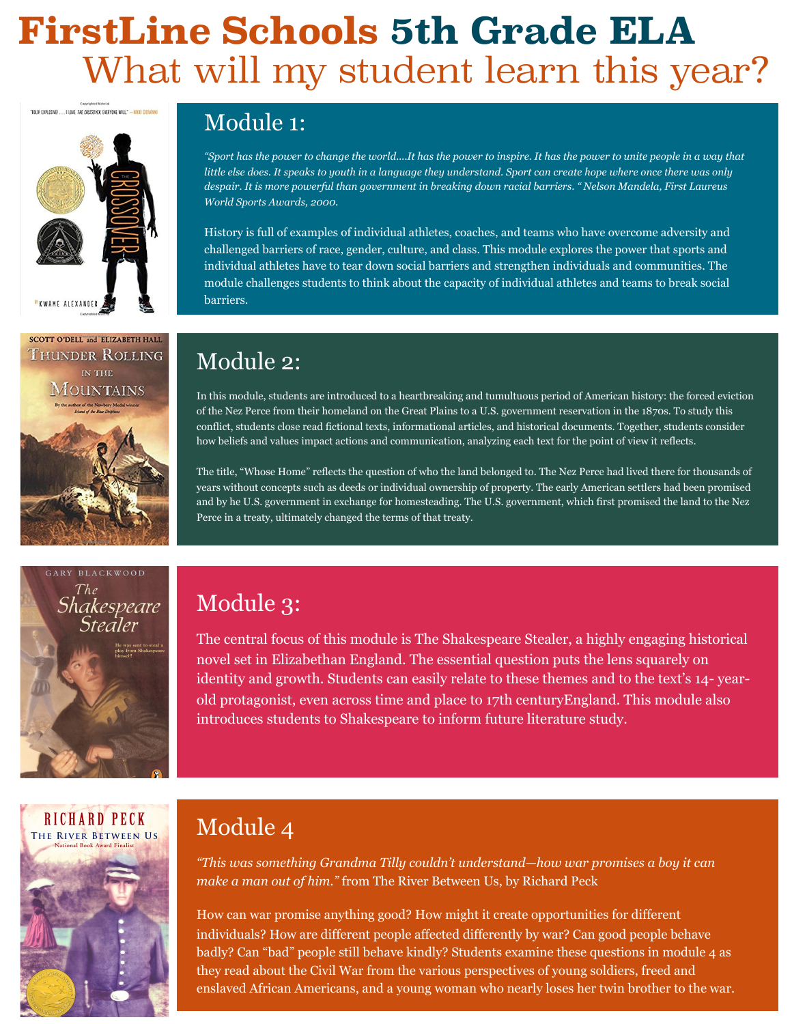# **FirstLine Schools 5th Grade ELA** What will my student learn this year?





## Module 1:

*"Sport has the power to change the world....It has the power to inspire. It has the power to unite people in a way that little else does. It speaks to youth in a language they understand. Sport can create hope where once there was only despair. It is more powerful than government in breaking down racial barriers. " Nelson Mandela, First Laureus World Sports Awards, 2000.* 

History is full of examples of individual athletes, coaches, and teams who have overcome adversity and challenged barriers of race, gender, culture, and class. This module explores the power that sports and individual athletes have to tear down social barriers and strengthen individuals and communities. The module challenges students to think about the capacity of individual athletes and teams to break social barriers.

### Module 2:

In this module, students are introduced to a heartbreaking and tumultuous period of American history: the forced eviction of the Nez Perce from their homeland on the Great Plains to a U.S. government reservation in the 1870s. To study this conflict, students close read fictional texts, informational articles, and historical documents. Together, students consider how beliefs and values impact actions and communication, analyzing each text for the point of view it reflects.

The title, "Whose Home" reflects the question of who the land belonged to. The Nez Perce had lived there for thousands of years without concepts such as deeds or individual ownership of property. The early American settlers had been promised and by he U.S. government in exchange for homesteading. The U.S. government, which first promised the land to the Nez Perce in a treaty, ultimately changed the terms of that treaty.



### Module 3:

The central focus of this module is The Shakespeare Stealer, a highly engaging historical novel set in Elizabethan England. The essential question puts the lens squarely on identity and growth. Students can easily relate to these themes and to the text's 14- yearold protagonist, even across time and place to 17th centuryEngland. This module also introduces students to Shakespeare to inform future literature study.



## Module 4

*"This was something Grandma Tilly couldn't understand—how war promises a boy it can make a man out of him."* from The River Between Us, by Richard Peck

How can war promise anything good? How might it create opportunities for different individuals? How are different people affected differently by war? Can good people behave badly? Can "bad" people still behave kindly? Students examine these questions in module 4 as they read about the Civil War from the various perspectives of young soldiers, freed and enslaved African Americans, and a young woman who nearly loses her twin brother to the war.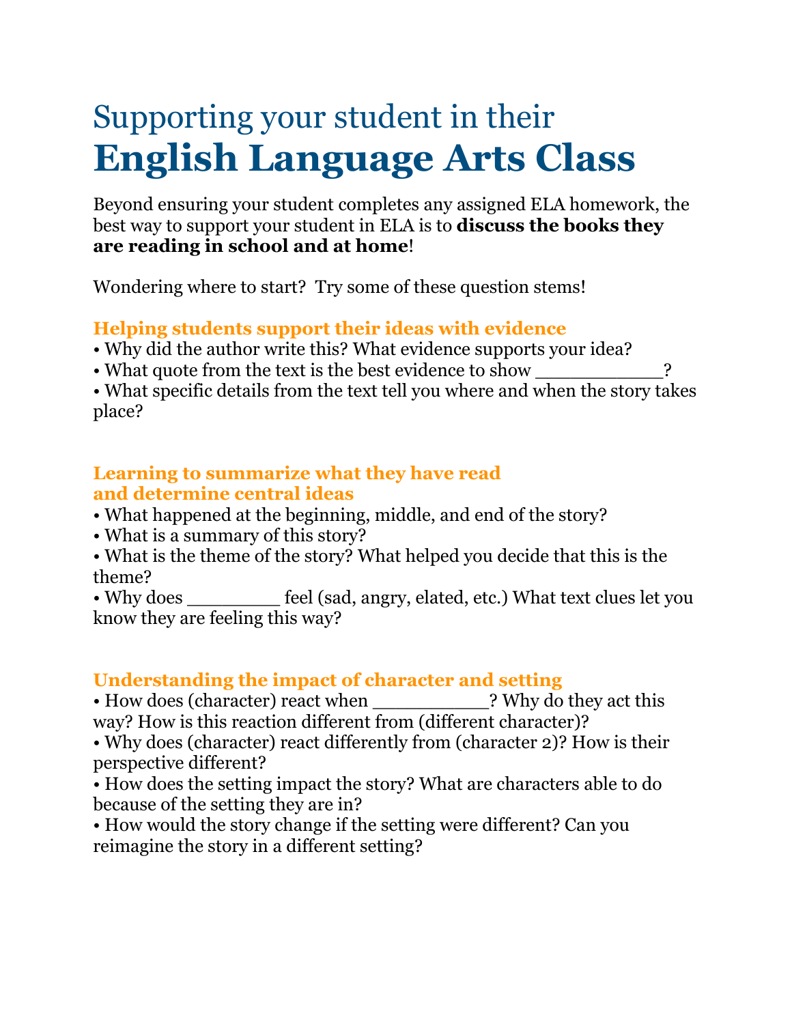# Supporting your student in their **English Language Arts Class**

Beyond ensuring your student completes any assigned ELA homework, the best way to support your student in ELA is to **discuss the books they are reading in school and at home**!

Wondering where to start? Try some of these question stems!

#### **Helping students support their ideas with evidence**

- Why did the author write this? What evidence supports your idea?
- What quote from the text is the best evidence to show \_\_\_\_\_\_\_\_\_\_\_\_\_\_\_\_\_?

• What specific details from the text tell you where and when the story takes place?

#### **Learning to summarize what they have read and determine central ideas**

- What happened at the beginning, middle, and end of the story?
- What is a summary of this story?
- What is the theme of the story? What helped you decide that this is the theme?

• Why does feel (sad, angry, elated, etc.) What text clues let you know they are feeling this way?

#### **Understanding the impact of character and setting**

• How does (character) react when ? Why do they act this way? How is this reaction different from (different character)?

• Why does (character) react differently from (character 2)? How is their perspective different?

- How does the setting impact the story? What are characters able to do because of the setting they are in?
- How would the story change if the setting were different? Can you reimagine the story in a different setting?